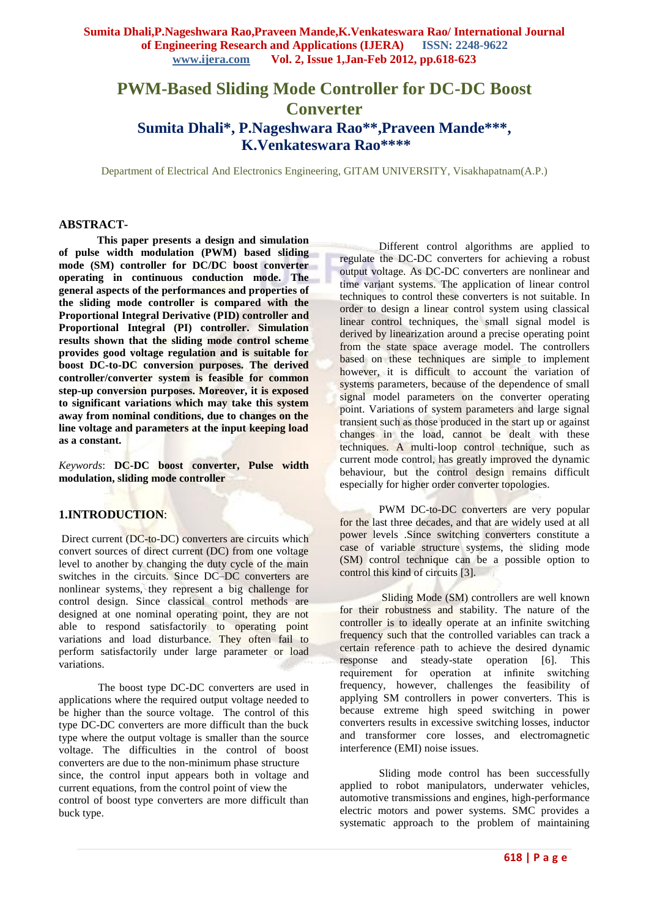# **PWM-Based Sliding Mode Controller for DC-DC Boost Converter Sumita Dhali\*, P.Nageshwara Rao\*\*,Praveen Mande\*\*\*, K.Venkateswara Rao\*\*\*\***

Department of Electrical And Electronics Engineering, GITAM UNIVERSITY, Visakhapatnam(A.P.)

## **ABSTRACT-**

 **This paper presents a design and simulation of pulse width modulation (PWM) based sliding mode (SM) controller for DC/DC boost converter operating in continuous conduction mode. The general aspects of the performances and properties of the sliding mode controller is compared with the Proportional Integral Derivative (PID) controller and Proportional Integral (PI) controller. Simulation results shown that the sliding mode control scheme provides good voltage regulation and is suitable for boost DC-to-DC conversion purposes. The derived controller/converter system is feasible for common step-up conversion purposes. Moreover, it is exposed to significant variations which may take this system away from nominal conditions, due to changes on the line voltage and parameters at the input keeping load as a constant.**

*Keywords*: **DC-DC boost converter, Pulse width modulation, sliding mode controller**

## **1.INTRODUCTION**:

Direct current (DC-to-DC) converters are circuits which convert sources of direct current (DC) from one voltage level to another by changing the duty cycle of the main switches in the circuits. Since DC–DC converters are nonlinear systems, they represent a big challenge for control design. Since classical control methods are designed at one nominal operating point, they are not able to respond satisfactorily to operating point variations and load disturbance. They often fail to perform satisfactorily under large parameter or load variations.

The boost type DC-DC converters are used in applications where the required output voltage needed to be higher than the source voltage. The control of this type DC-DC converters are more difficult than the buck type where the output voltage is smaller than the source voltage. The difficulties in the control of boost converters are due to the non-minimum phase structure since, the control input appears both in voltage and current equations, from the control point of view the control of boost type converters are more difficult than buck type.

Different control algorithms are applied to regulate the DC-DC converters for achieving a robust output voltage. As DC-DC converters are nonlinear and time variant systems. The application of linear control techniques to control these converters is not suitable. In order to design a linear control system using classical linear control techniques, the small signal model is derived by linearization around a precise operating point from the state space average model. The controllers based on these techniques are simple to implement however, it is difficult to account the variation of systems parameters, because of the dependence of small signal model parameters on the converter operating point. Variations of system parameters and large signal transient such as those produced in the start up or against changes in the load, cannot be dealt with these techniques. A multi-loop control technique, such as current mode control, has greatly improved the dynamic behaviour, but the control design remains difficult especially for higher order converter topologies.

PWM DC-to-DC converters are very popular for the last three decades, and that are widely used at all power levels .Since switching converters constitute a case of variable structure systems, the sliding mode (SM) control technique can be a possible option to control this kind of circuits [3].

Sliding Mode (SM) controllers are well known for their robustness and stability. The nature of the controller is to ideally operate at an infinite switching frequency such that the controlled variables can track a certain reference path to achieve the desired dynamic response and steady-state operation [6]. This requirement for operation at infinite switching frequency, however, challenges the feasibility of applying SM controllers in power converters. This is because extreme high speed switching in power converters results in excessive switching losses, inductor and transformer core losses, and electromagnetic interference (EMI) noise issues.

Sliding mode control has been successfully applied to robot manipulators, underwater vehicles, automotive transmissions and engines, high-performance electric motors and power systems. SMC provides a systematic approach to the problem of maintaining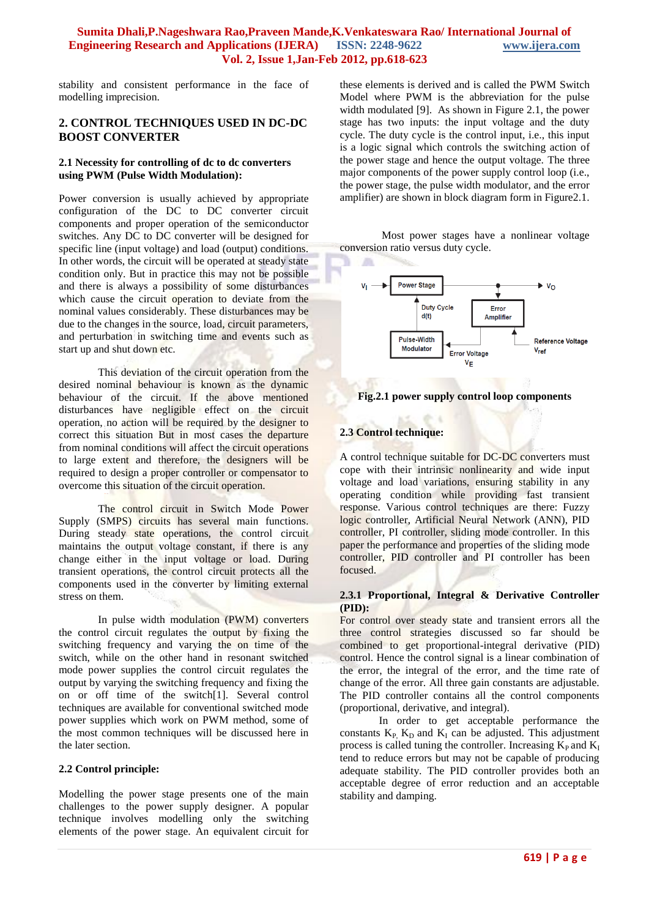stability and consistent performance in the face of modelling imprecision.

## **2. CONTROL TECHNIQUES USED IN DC-DC BOOST CONVERTER**

#### **2.1 Necessity for controlling of dc to dc converters using PWM (Pulse Width Modulation):**

Power conversion is usually achieved by appropriate configuration of the DC to DC converter circuit components and proper operation of the semiconductor switches. Any DC to DC converter will be designed for specific line (input voltage) and load (output) conditions. In other words, the circuit will be operated at steady state condition only. But in practice this may not be possible and there is always a possibility of some disturbances which cause the circuit operation to deviate from the nominal values considerably. These disturbances may be due to the changes in the source, load, circuit parameters, and perturbation in switching time and events such as start up and shut down etc.

This deviation of the circuit operation from the desired nominal behaviour is known as the dynamic behaviour of the circuit. If the above mentioned disturbances have negligible effect on the circuit operation, no action will be required by the designer to correct this situation But in most cases the departure from nominal conditions will affect the circuit operations to large extent and therefore, the designers will be required to design a proper controller or compensator to overcome this situation of the circuit operation.

The control circuit in Switch Mode Power Supply (SMPS) circuits has several main functions. During steady state operations, the control circuit maintains the output voltage constant, if there is any change either in the input voltage or load. During transient operations, the control circuit protects all the components used in the converter by limiting external stress on them.

In pulse width modulation (PWM) converters the control circuit regulates the output by fixing the switching frequency and varying the on time of the switch, while on the other hand in resonant switched mode power supplies the control circuit regulates the output by varying the switching frequency and fixing the on or off time of the switch[1]. Several control techniques are available for conventional switched mode power supplies which work on PWM method, some of the most common techniques will be discussed here in the later section.

### **2.2 Control principle:**

Modelling the power stage presents one of the main challenges to the power supply designer. A popular technique involves modelling only the switching elements of the power stage. An equivalent circuit for these elements is derived and is called the PWM Switch Model where PWM is the abbreviation for the pulse width modulated [9]. As shown in Figure 2.1, the power stage has two inputs: the input voltage and the duty cycle. The duty cycle is the control input, i.e., this input is a logic signal which controls the switching action of the power stage and hence the output voltage. The three major components of the power supply control loop (i.e., the power stage, the pulse width modulator, and the error amplifier) are shown in block diagram form in Figure2.1.

Most power stages have a nonlinear voltage conversion ratio versus duty cycle.



#### **Fig.2.1 power supply control loop components**

## **2.3 Control technique:**

A control technique suitable for DC-DC converters must cope with their intrinsic nonlinearity and wide input voltage and load variations, ensuring stability in any operating condition while providing fast transient response. Various control techniques are there: Fuzzy logic controller, Artificial Neural Network (ANN), PID controller, PI controller, sliding mode controller. In this paper the performance and properties of the sliding mode controller, PID controller and PI controller has been focused.

#### **2.3.1 Proportional, Integral & Derivative Controller (PID):**

For control over steady state and transient errors all the three control strategies discussed so far should be combined to get proportional-integral derivative (PID) control. Hence the control signal is a linear combination of the error, the integral of the error, and the time rate of change of the error. All three gain constants are adjustable. The PID controller contains all the control components (proportional, derivative, and integral).

In order to get acceptable performance the constants  $K_P$ ,  $K_D$  and  $K_I$  can be adjusted. This adjustment process is called tuning the controller. Increasing  $\overline{K}_P$  and  $\overline{K}_I$ tend to reduce errors but may not be capable of producing adequate stability. The PID controller provides both an acceptable degree of error reduction and an acceptable stability and damping.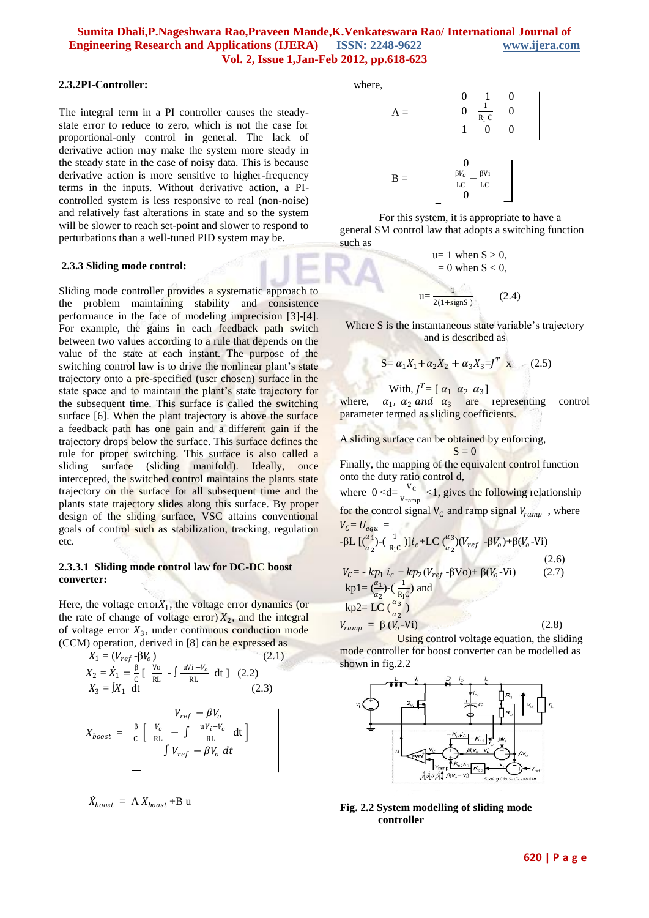#### **2.3.2PI-Controller:**

The integral term in a PI controller causes the steadystate error to reduce to zero, which is not the case for proportional-only control in general. The lack of derivative action may make the system more steady in the steady state in the case of noisy data. This is because derivative action is more sensitive to higher-frequency terms in the inputs. Without derivative action, a PIcontrolled system is less responsive to real (non-noise) and relatively fast alterations in state and so the system will be slower to reach set-point and slower to respond to perturbations than a well-tuned PID system may be.

#### **2.3.3 Sliding mode control:**

Sliding mode controller provides a systematic approach to the problem maintaining stability and consistence performance in the face of modeling imprecision [3]-[4]. For example, the gains in each feedback path switch between two values according to a rule that depends on the value of the state at each instant. The purpose of the switching control law is to drive the nonlinear plant's state trajectory onto a pre-specified (user chosen) surface in the state space and to maintain the plant's state trajectory for the subsequent time. This surface is called the switching surface [6]. When the plant trajectory is above the surface a feedback path has one gain and a different gain if the trajectory drops below the surface. This surface defines the rule for proper switching. This surface is also called a sliding surface (sliding manifold). Ideally, once intercepted, the switched control maintains the plants state trajectory on the surface for all subsequent time and the plants state trajectory slides along this surface. By proper design of the sliding surface, VSC attains conventional goals of control such as stabilization, tracking, regulation etc.

#### **2.3.3.1 Sliding mode control law for DC-DC boost converter:**

Here, the voltage  $errorX_1$ , the voltage error dynamics (or the rate of change of voltage error)  $X_2$ , and the integral of voltage error  $X_3$ , under continuous conduction mode (CCM) operation, derived in [8] can be expressed as

$$
X_1 = (V_{ref} - \beta V_o)
$$
\n
$$
X_2 = \dot{X}_1 = \frac{\beta}{c} \left[ \frac{V_o}{RL} - \int \frac{uV_i - V_o}{RL} dt \right] \quad (2.2)
$$
\n
$$
X_3 = \int X_1 dt
$$
\n
$$
X_{boost} = \begin{bmatrix} V_{ref} - \beta V_o \\ \frac{\beta}{c} \left[ \frac{V_o}{RL} - \int \frac{uV_i - V_o}{RL} dt \right] \\ \int V_{ref} - \beta V_o dt \end{bmatrix}
$$

$$
\dot{X}_{boost} = A X_{boost} + B u
$$

where,

l



For this system, it is appropriate to have a general SM control law that adopts a switching function such as

$$
u=1 when S > 0,= 0 when S < 0,u=\frac{1}{2(1+\text{signS})}
$$
 (2.4)

Where S is the instantaneous state variable's trajectory and is described as

$$
S = \alpha_1 X_1 + \alpha_2 X_2 + \alpha_3 X_3 = J^T \mathbf{x} \tag{2.5}
$$

With,  $J^T = [\alpha_1 \ \alpha_2 \ \alpha_3]$ 

where.  $\alpha_1$ ,  $\alpha_2$  and  $\alpha_3$  are representing control parameter termed as sliding coefficients.

A sliding surface can be obtained by enforcing,  $S = 0$ 

Finally, the mapping of the equivalent control function onto the duty ratio control d,

where  $0 < d = \frac{V_C}{V_C}$  $\frac{v_c}{v_{ramp}}$  <1, gives the following relationship for the control signal  $V_c$  and ramp signal  $V_{ramp}$ , where  $V_c = U_{equ} =$ -βL  $\left[\frac{\alpha_1}{\alpha_2}\right]$  $\frac{\alpha_1}{\alpha_2}$ )-( $\frac{1}{R_1}$  $\frac{1}{R_1C}$ )] $i_c$ +LC  $\left(\frac{\alpha_3}{\alpha_2}\right)$  $\frac{u_3}{\alpha_2}$ )( $V_{ref}$  - $\beta V_o$ )+ $\beta$ ( $V_o$ -Vi)  $(2.6)$ 

 $V_c = -kp_1 i_c + kp_2(V_{ref} - \beta \text{Vo}) + \beta(V_o)$  $(2.7)$  $kp1 = (\frac{\alpha_1}{n})$  $\frac{\alpha_1}{\alpha_2}$ )-( $\frac{1}{R_1}$  $\frac{1}{R_1C}$  and kp2= LC  $\left(\frac{\alpha_3}{\alpha}\right)$  $\frac{u_3}{\alpha_2}$ )

 $V_{ramp} = \beta (V_o$ -Vi)  $(2.8)$ Using control voltage equation, the sliding

mode controller for boost converter can be modelled as shown in fig.2.2



#### **Fig. 2.2 System modelling of sliding mode controller**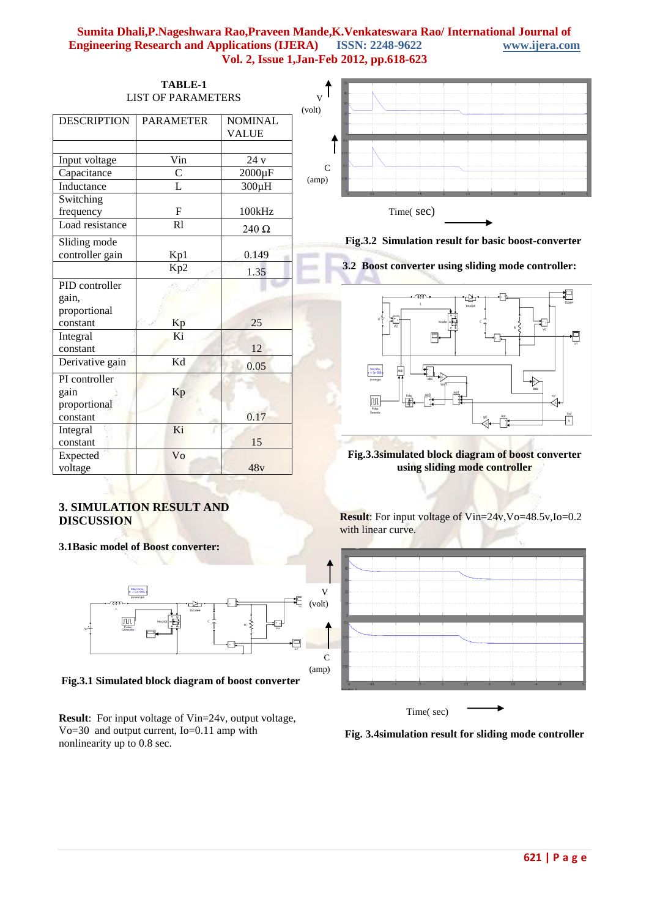| TABLE-1<br><b>LIST OF PARAMETERS</b>                |                  |                | $\overline{\mathbf{V}}$<br>(volt)                                                                                                                                                  |
|-----------------------------------------------------|------------------|----------------|------------------------------------------------------------------------------------------------------------------------------------------------------------------------------------|
| <b>DESCRIPTION</b>                                  | <b>PARAMETER</b> | <b>NOMINAL</b> |                                                                                                                                                                                    |
|                                                     |                  | <b>VALUE</b>   |                                                                                                                                                                                    |
|                                                     |                  |                |                                                                                                                                                                                    |
| Input voltage                                       | Vin              | 24v            | $\mathbf C$                                                                                                                                                                        |
| Capacitance                                         | $\mathbf C$      | $2000\mu F$    | (am)                                                                                                                                                                               |
| Inductance                                          | $\overline{L}$   | $300\mu H$     |                                                                                                                                                                                    |
| Switching                                           |                  |                |                                                                                                                                                                                    |
| frequency                                           | $\mathbf{F}$     | 100kHz         | Time(sec)                                                                                                                                                                          |
| Load resistance                                     | $\overline{R}$   | 240 $\Omega$   |                                                                                                                                                                                    |
| Sliding mode<br>controller gain                     | Kp1              | 0.149          | Fig.3.2 Simulation result for basic boost-converter                                                                                                                                |
|                                                     | Kp2              | 1.35           | 3.2 Boost converter using sliding mode controller:                                                                                                                                 |
| PID controller<br>gain,<br>proportional<br>constant | Kp               | 25             | 必<br>Diode4                                                                                                                                                                        |
| Integral<br>constant                                | Ki               | 12             | ę                                                                                                                                                                                  |
| Derivative gain                                     | Kd               | 0.05           | $\frac{\mu}{4}$                                                                                                                                                                    |
| PI controller<br>gain<br>proportional<br>constant   | Kp               | 0.17           | Discrete,<br>s = Se-006<br>powergui<br>$\fbox{11.5cm}$ $\begin{tabular}{ c c } \hline \textbf{1} & \textbf{Pulse} \\ \hline \textbf{Pulse} & \textbf{Gsmend} \hline \end{tabular}$ |
| Integral<br>constant                                | Ki               | 15             |                                                                                                                                                                                    |
| Expected<br>voltage                                 | Vo               | 48v            | Fig.3.3simulated block diagram of boost converter<br>using sliding mode controller                                                                                                 |

## **3. SIMULATION RESULT AND DISCUSSION**

**3.1Basic model of Boost converter:**



**Fig.3.1 Simulated block diagram of boost converter**

**Result**: For input voltage of Vin=24v, output voltage, Vo=30 and output current, Io=0.11 amp with nonlinearity up to 0.8 sec.

**Result**: For input voltage of Vin=24v,Vo=48.5v,Io=0.2 with linear curve.



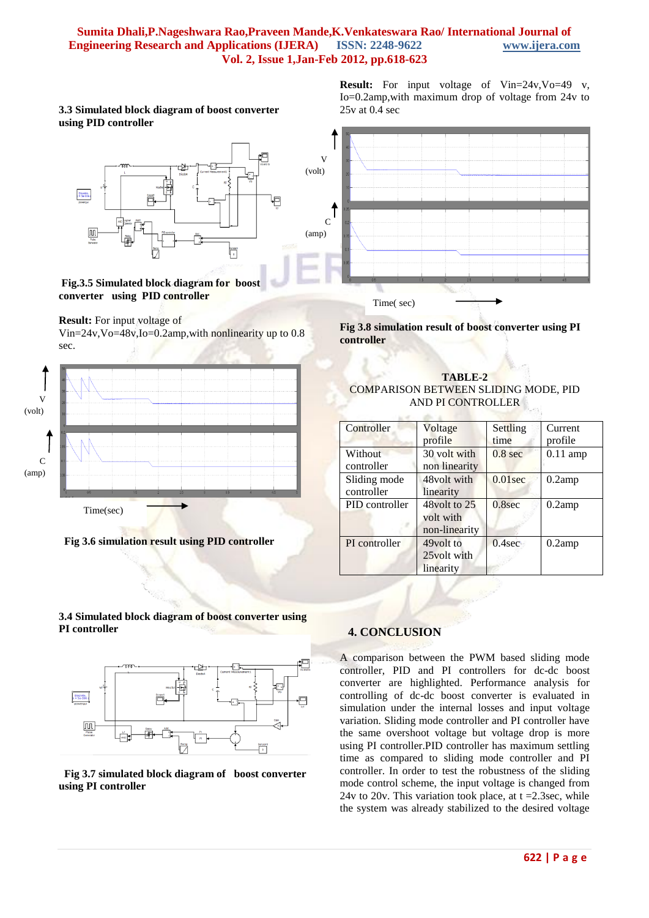#### **3.3 Simulated block diagram of boost converter using PID controller**



**Fig.3.5 Simulated block diagram for boost converter using PID controller**

**Result:** For input voltage of

Vin=24v,Vo=48v,Io=0.2amp,with nonlinearity up to 0.8 sec.



**Fig 3.6 simulation result using PID controller**

**Result:** For input voltage of Vin=24v,Vo=49 v, Io=0.2amp,with maximum drop of voltage from 24v to 25v at 0.4 sec



**Fig 3.8 simulation result of boost converter using PI controller**

## **TABLE-2** COMPARISON BETWEEN SLIDING MODE, PID AND PI CONTROLLER

| Controller                   | Voltage<br>profile                            | Settling<br>time   | Current<br>profile |
|------------------------------|-----------------------------------------------|--------------------|--------------------|
| <b>Without</b><br>controller | 30 volt with<br>non linearity                 | 0.8 <sub>sec</sub> | $0.11$ amp         |
| Sliding mode<br>controller   | 48volt with<br>linearity                      | $0.01$ sec         | $0.2$ amp          |
| PID controller               | $48$ volt to 25<br>volt with<br>non-linearity | $0.8$ sec          | $0.2$ amp          |
| PI controller                | 49volt to<br>25 volt with<br>linearity        | $0.4$ sec          | $0.2$ amp          |

### **3.4 Simulated block diagram of boost converter using PI controller**



 **Fig 3.7 simulated block diagram of boost converter using PI controller**

## **4. CONCLUSION**

A comparison between the PWM based sliding mode controller, PID and PI controllers for dc-dc boost converter are highlighted. Performance analysis for controlling of dc-dc boost converter is evaluated in simulation under the internal losses and input voltage variation. Sliding mode controller and PI controller have the same overshoot voltage but voltage drop is more using PI controller.PID controller has maximum settling time as compared to sliding mode controller and PI controller. In order to test the robustness of the sliding mode control scheme, the input voltage is changed from 24v to 20v. This variation took place, at  $t = 2.3$ sec, while the system was already stabilized to the desired voltage